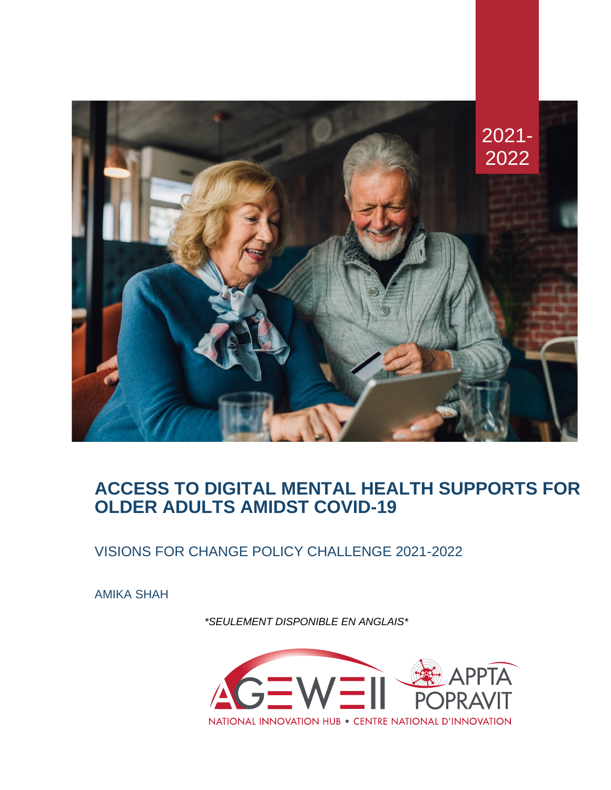

# **ACCESS TO DIGITAL MENTAL HEALTH SUPPORTS FOR OLDER ADULTS AMIDST COVID-19**

VISIONS FOR CHANGE POLICY CHALLENGE 2021-2022

AMIKA SHAH

*\*SEULEMENT DISPONIBLE EN ANGLAIS\**

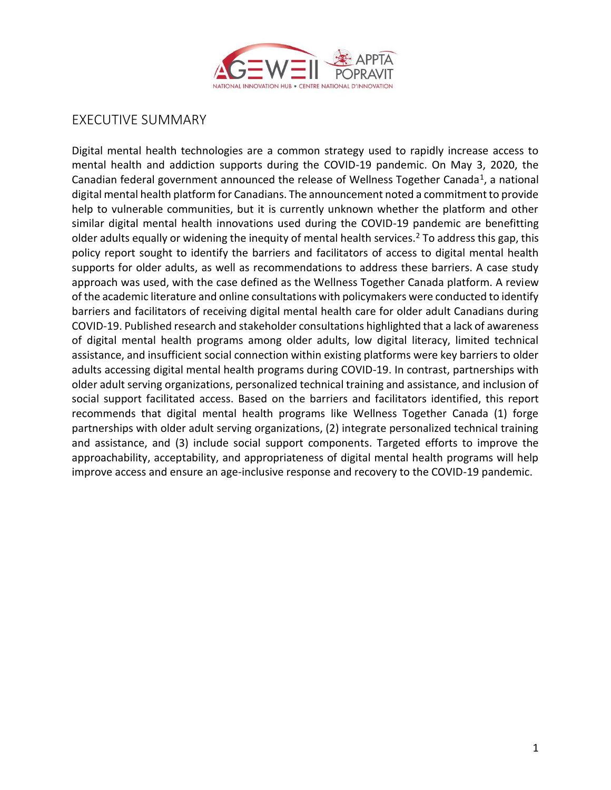

# EXECUTIVE SUMMARY

Digital mental health technologies are a common strategy used to rapidly increase access to mental health and addiction supports during the COVID-19 pandemic. On May 3, 2020, the Canadian federal government announced the release of Wellness Together Canada<sup>[1](https://paperpile.com/c/XWyKiP/OH4zK)</sup>, a national digital mental health platform for Canadians. The announcement noted a commitment to provide help to vulnerable communities, but it is currently unknown whether the platform and other similar digital mental health innovations used during the COVID-19 pandemic are benefitting older adults equally or widening the inequity of mental health services.[2](https://paperpile.com/c/XWyKiP/KsLzM) To address this gap, this policy report sought to identify the barriers and facilitators of access to digital mental health supports for older adults, as well as recommendations to address these barriers. A case study approach was used, with the case defined as the Wellness Together Canada platform. A review of the academic literature and online consultations with policymakers were conducted to identify barriers and facilitators of receiving digital mental health care for older adult Canadians during COVID-19. Published research and stakeholder consultations highlighted that a lack of awareness of digital mental health programs among older adults, low digital literacy, limited technical assistance, and insufficient social connection within existing platforms were key barriers to older adults accessing digital mental health programs during COVID-19. In contrast, partnerships with older adult serving organizations, personalized technical training and assistance, and inclusion of social support facilitated access. Based on the barriers and facilitators identified, this report recommends that digital mental health programs like Wellness Together Canada (1) forge partnerships with older adult serving organizations, (2) integrate personalized technical training and assistance, and (3) include social support components. Targeted efforts to improve the approachability, acceptability, and appropriateness of digital mental health programs will help improve access and ensure an age-inclusive response and recovery to the COVID-19 pandemic.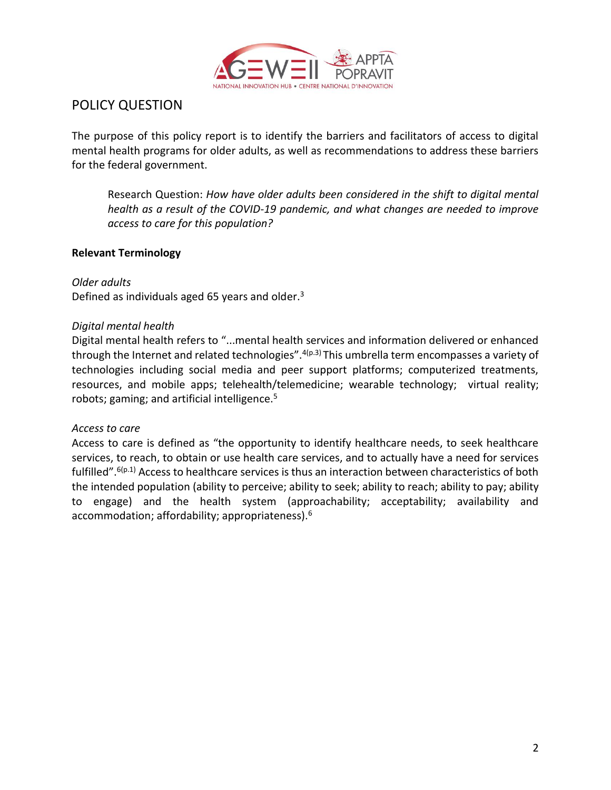

# POLICY QUESTION

The purpose of this policy report is to identify the barriers and facilitators of access to digital mental health programs for older adults, as well as recommendations to address these barriers for the federal government.

Research Question: *How have older adults been considered in the shift to digital mental health as a result of the COVID-19 pandemic, and what changes are needed to improve access to care for this population?*

## **Relevant Terminology**

*Older adults* Defined as individuals aged 65 years and older[.](https://paperpile.com/c/XWyKiP/F9mqA) $3$ 

## *Digital mental health*

Digital mental health refers to "...mental health services and information delivered or enhanced through the Internet and related technologies".  $4(p.3)$  $4(p.3)$  This umbrella term encompasses a variety of technologies including social media and peer support platforms; computerized treatments, resources, and mobile apps; telehealth/telemedicine; wearable technology; virtual reality; robots; gaming; and artificial intelligence.<sup>[5](https://paperpile.com/c/XWyKiP/ZW0PO)</sup>

#### *Access to care*

Access to care is defined as "the opportunity to identify healthcare needs, to seek healthcare services, to reach, to obtain or use health care services, and to actually have a need for services fulfilled".[6\(](https://paperpile.com/c/XWyKiP/Id4j5)p.1) Access to healthcare services is thus an interaction between characteristics of both the intended population (ability to perceive; ability to seek; ability to reach; ability to pay; ability to engage) and the health system (approachability; acceptability; availability and accommodation; affordability; appropriateness).<sup>[6](https://paperpile.com/c/XWyKiP/Id4j5)</sup>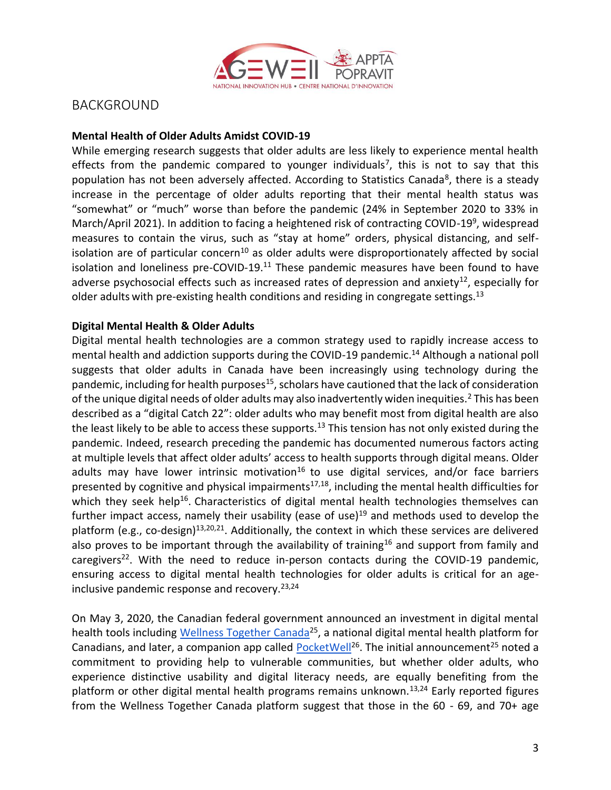

# BACKGROUND

#### **Mental Health of Older Adults Amidst COVID-19**

While emerging research suggests that older adults are less likely to experience mental health effects from the pandemic compared to younger individuals<sup>[7](https://paperpile.com/c/XWyKiP/XQZVo)</sup>, this is not to say that this population has not been adversely affected. According to Statistics Canada<sup>[8](https://paperpile.com/c/XWyKiP/xhj8U)</sup>, there is a steady increase in the percentage of older adults reporting that their mental health status was "somewhat" or "much" worse than before the pandemic (24% in September 2020 to 33% in March/April 2021). In addition to facing a heightened risk of contracting COVID-1[9](https://paperpile.com/c/XWyKiP/T0ND2)<sup>9</sup>, widespread measures to contain the virus, such as "stay at home" orders, physical distancing, and self-isolation are of particular concern<sup>[10](https://paperpile.com/c/XWyKiP/311Ck)</sup> as older adults were disproportionately affected by social isolation and loneliness pre-COVID-19. $^{11}$  $^{11}$  $^{11}$  These pandemic measures have been found to have adverse psychosocial effects such as increased rates of depression and anxiety<sup>[12](https://paperpile.com/c/XWyKiP/IYfxd)</sup>, especially for older adults with pre-existing health conditions and residing in congregate settings.<sup>[13](https://paperpile.com/c/XWyKiP/oX1hO)</sup>

#### **Digital Mental Health & Older Adults**

Digital mental health technologies are a common strategy used to rapidly increase access to mental health and addiction supports during the COVID-19 pandemic.<sup>[14](https://paperpile.com/c/XWyKiP/SGy9K)</sup> Although a national poll suggests that older adults in Canada have been increasingly using technology during the pandemic, including for health purposes<sup>[15](https://paperpile.com/c/XWyKiP/4mZko)</sup>, scholars have cautioned that the lack of consideration of the unique digital needs of older adults may also inadvertently widen inequities.<sup>[2](https://paperpile.com/c/XWyKiP/KsLzM)</sup> This has been described as a "digital Catch 22": older adults who may benefit most from digital health are also the least likely to be able to access these supports.<sup>[13](https://paperpile.com/c/XWyKiP/oX1hO)</sup> This tension has not only existed during the pandemic. Indeed, research preceding the pandemic has documented numerous factors acting at multiple levels that affect older adults' access to health supports through digital means. Older adults may have lower intrinsic motivation<sup>[16](https://paperpile.com/c/XWyKiP/GmcBI)</sup> to use digital services, and/or face barriers presented by cognitive and physical impairments<sup>[17,18](https://paperpile.com/c/XWyKiP/u6Oa1+2d0k1)</sup>, including the mental health difficulties for which they seek help<sup>[16](https://paperpile.com/c/XWyKiP/GmcBI)</sup>. Characteristics of digital mental health technologies themselves can further impact access, namely their usability (ease of use) $19$  and methods used to develop the platform (e.g., co-design)<sup>[13,20,21](https://paperpile.com/c/XWyKiP/oX1hO+p1Dz8+cHvsJ)</sup>. Additionally, the context in which these services are delivered also proves to be important through the availability of training<sup>[16](https://paperpile.com/c/XWyKiP/GmcBI)</sup> and support from family and caregivers<sup>[22](https://paperpile.com/c/XWyKiP/xHx3c)</sup>. With the need to reduce in-person contacts during the COVID-19 pandemic, ensuring access to digital mental health technologies for older adults is critical for an ageinclusive pandemic response and recovery.  $23,24$ 

On May 3, 2020, the Canadian federal government announced an investment in digital mental health tools including [Wellness Together Canada](about:blank)<sup>[25](https://paperpile.com/c/XWyKiP/hfkIq)</sup>, a national digital mental health platform for Canadians, and later, a companion app called  $PocketWell<sup>26</sup>$  $PocketWell<sup>26</sup>$  $PocketWell<sup>26</sup>$ . The initial announcement<sup>[25](https://paperpile.com/c/XWyKiP/hfkIq)</sup> noted a commitment to providing help to vulnerable communities, but whether older adults, who experience distinctive usability and digital literacy needs, are equally benefiting from the platform or other digital mental health programs remains unknown.<sup>[13,24](https://paperpile.com/c/XWyKiP/qPMuf+oX1hO)</sup> Early reported figures from the Wellness Together Canada platform suggest that those in the 60 - 69, and 70+ age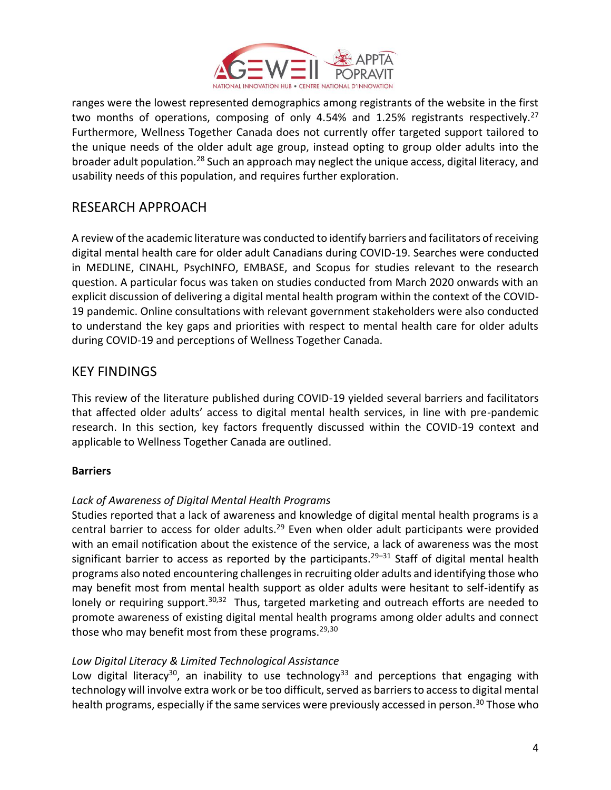

ranges were the lowest represented demographics among registrants of the website in the first two months of operations, composing of only 4.54% and 1.25% registrants respectively.<sup>[27](https://paperpile.com/c/XWyKiP/bCS8)</sup> Furthermore, Wellness Together Canada does not currently offer targeted support tailored to the unique needs of the older adult age group, instead opting to group older adults into the broader adult population.[28](https://paperpile.com/c/XWyKiP/01jge) Such an approach may neglect the unique access, digital literacy, and usability needs of this population, and requires further exploration.

# RESEARCH APPROACH

A review of the academic literature was conducted to identify barriers and facilitators of receiving digital mental health care for older adult Canadians during COVID-19. Searches were conducted in MEDLINE, CINAHL, PsychINFO, EMBASE, and Scopus for studies relevant to the research question. A particular focus was taken on studies conducted from March 2020 onwards with an explicit discussion of delivering a digital mental health program within the context of the COVID-19 pandemic. Online consultations with relevant government stakeholders were also conducted to understand the key gaps and priorities with respect to mental health care for older adults during COVID-19 and perceptions of Wellness Together Canada.

# KEY FINDINGS

This review of the literature published during COVID-19 yielded several barriers and facilitators that affected older adults' access to digital mental health services, in line with pre-pandemic research. In this section, key factors frequently discussed within the COVID-19 context and applicable to Wellness Together Canada are outlined.

# **Barriers**

# *Lack of Awareness of Digital Mental Health Programs*

Studies reported that a lack of awareness and knowledge of digital mental health programs is a central barrier to access for older adults.<sup>[29](https://paperpile.com/c/XWyKiP/U3q7O)</sup> Even when older adult participants were provided with an email notification about the existence of the service, a lack of awareness was the most significant barrier to access as reported by the participants.<sup>[29](https://paperpile.com/c/XWyKiP/U3q7O+6tjb8+qHMkk)–31</sup> Staff of digital mental health programs also noted encountering challenges in recruiting older adults and identifying those who may benefit most from mental health support as older adults were hesitant to self-identify as lonely or requiring support.<sup>[30,32](https://paperpile.com/c/XWyKiP/6tjb8+EUQNv)</sup> Thus, targeted marketing and outreach efforts are needed to promote awareness of existing digital mental health programs among older adults and connect those who may benefit most from these programs.<sup>[29,30](https://paperpile.com/c/XWyKiP/U3q7O+6tjb8)</sup>

# *Low Digital Literacy & Limited Technological Assistance*

Low digital literacy<sup>[30](https://paperpile.com/c/XWyKiP/6tjb8)</sup>, an inability to use technology<sup>[33](https://paperpile.com/c/XWyKiP/rNKO)</sup> and perceptions that engaging with technology will involve extra work or be too difficult, served as barriers to access to digital mental health programs, especially if the same services were previously accessed in person.<sup>[30](https://paperpile.com/c/XWyKiP/6tjb8)</sup> Those who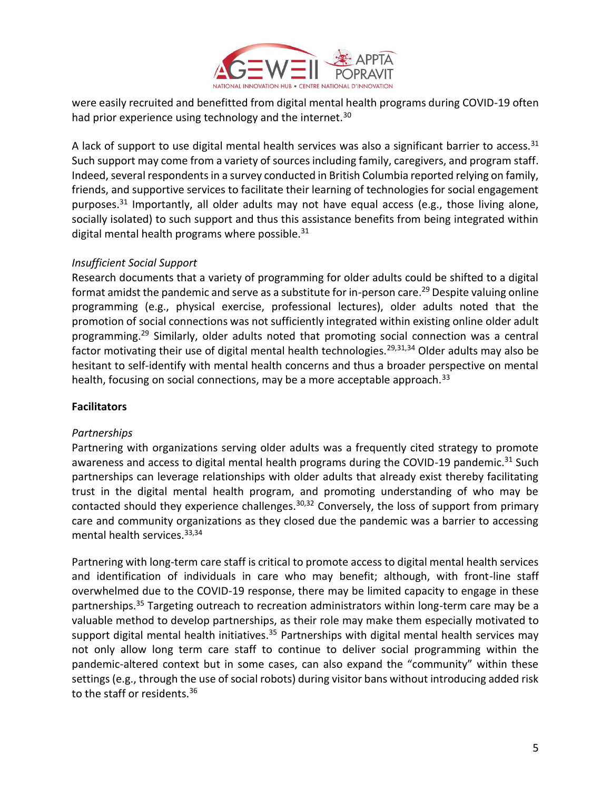

were easily recruited and benefitted from digital mental health programs during COVID-19 often had prior experience using technology and the internet.<sup>[30](https://paperpile.com/c/XWyKiP/6tjb8)</sup>

A lack of support to use digital mental health services was also a significant barrier to access.  $31$ Such support may come from a variety of sources including family, caregivers, and program staff. Indeed, several respondents in a survey conducted in British Columbia reported relying on family, friends, and supportive services to facilitate their learning of technologies for social engagement purposes.<sup>[31](https://paperpile.com/c/XWyKiP/qHMkk)</sup> Importantly, all older adults may not have equal access (e.g., those living alone, socially isolated) to such support and thus this assistance benefits from being integrated within digital mental health programs where possible. $31$ 

### *Insufficient Social Support*

Research documents that a variety of programming for older adults could be shifted to a digital format amidst the pandemic and serve as a substitute for in-person care.<sup>[29](https://paperpile.com/c/XWyKiP/U3q7O)</sup> Despite valuing online programming (e.g., physical exercise, professional lectures), older adults noted that the promotion of social connections was not sufficiently integrated within existing online older adult programming.[29](https://paperpile.com/c/XWyKiP/U3q7O) Similarly, older adults noted that promoting social connection was a central factor motivating their use of digital mental health technologies.<sup>[29,31,34](https://paperpile.com/c/XWyKiP/U3q7O+qHMkk+GozV)</sup> Older adults may also be hesitant to self-identify with mental health concerns and thus a broader perspective on mental health, focusing on social connections, may be a more acceptable approach.<sup>[33](https://paperpile.com/c/XWyKiP/rNKO)</sup>

## **Facilitators**

#### *Partnerships*

Partnering with organizations serving older adults was a frequently cited strategy to promote awareness and access to digital mental health programs during the COVID-19 pandemic.<sup>[31](https://paperpile.com/c/XWyKiP/qHMkk)</sup> Such partnerships can leverage relationships with older adults that already exist thereby facilitating trust in the digital mental health program, and promoting understanding of who may be contacted should they experience challenges.<sup>[30,32](https://paperpile.com/c/XWyKiP/6tjb8+EUQNv)</sup> Conversely, the loss of support from primary care and community organizations as they closed due the pandemic was a barrier to accessing mental health services.[33,34](https://paperpile.com/c/XWyKiP/GozV+rNKO)

Partnering with long-term care staff is critical to promote access to digital mental health services and identification of individuals in care who may benefit; although, with front-line staff overwhelmed due to the COVID-19 response, there may be limited capacity to engage in these partnerships.<sup>[35](https://paperpile.com/c/XWyKiP/qR9XG)</sup> Targeting outreach to recreation administrators within long-term care may be a valuable method to develop partnerships, as their role may make them especially motivated to support digital mental health initiatives.<sup>[35](https://paperpile.com/c/XWyKiP/qR9XG)</sup> Partnerships with digital mental health services may not only allow long term care staff to continue to deliver social programming within the pandemic-altered context but in some cases, can also expand the "community" within these settings (e.g., through the use of social robots) during visitor bans without introducing added risk to the staff or residents.<sup>[36](https://paperpile.com/c/XWyKiP/yM6qi)</sup>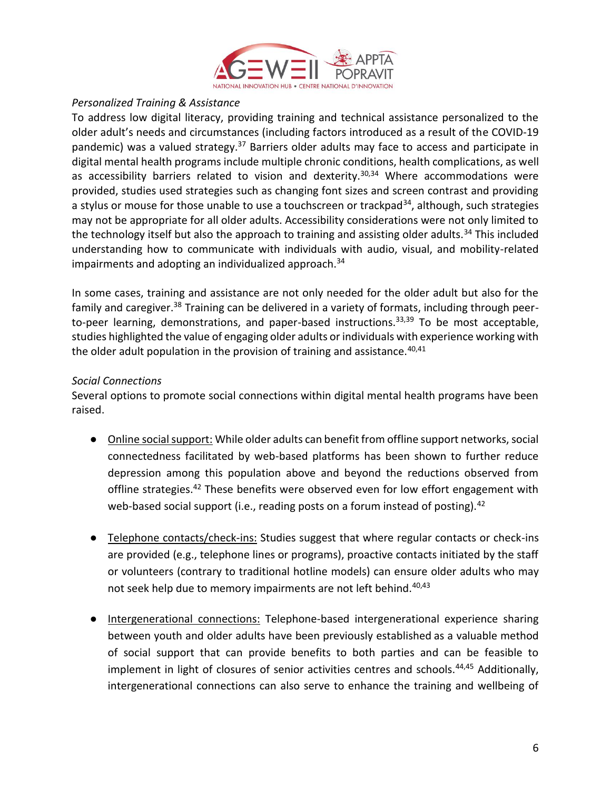

### *Personalized Training & Assistance*

To address low digital literacy, providing training and technical assistance personalized to the older adult's needs and circumstances (including factors introduced as a result of the COVID-19 pandemic) was a valued strategy.<sup>[37](https://paperpile.com/c/XWyKiP/j8hOW)</sup> Barriers older adults may face to access and participate in digital mental health programs include multiple chronic conditions, health complications, as well as accessibility barriers related to vision and dexterity. $30,34$  Where accommodations were provided, studies used strategies such as changing font sizes and screen contrast and providing a stylus or mouse for those unable to use a touchscreen or trackpad<sup>[34](https://paperpile.com/c/XWyKiP/GozV)</sup>, although, such strategies may not be appropriate for all older adults. Accessibility considerations were not only limited to the technology itself but also the approach to training and assisting older adults.<sup>[34](https://paperpile.com/c/XWyKiP/GozV)</sup> This included understanding how to communicate with individuals with audio, visual, and mobility-related impairments and adopting an individualized approach. $34$ 

In some cases, training and assistance are not only needed for the older adult but also for the family and caregiver.<sup>[38](https://paperpile.com/c/XWyKiP/y8iSi)</sup> Training can be delivered in a variety of formats, including through peer-to-peer learning, demonstrations, and paper-based instructions.<sup>[33,39](https://paperpile.com/c/XWyKiP/6cUKA+rNKO)</sup> To be most acceptable, studies highlighted the value of engaging older adults or individuals with experience working with the older adult population in the provision of training and assistance.  $40,41$ 

### *Social Connections*

Several options to promote social connections within digital mental health programs have been raised.

- Online social support: While older adults can benefit from offline support networks, social connectedness facilitated by web-based platforms has been shown to further reduce depression among this population above and beyond the reductions observed from offline strategies.<sup>[42](https://paperpile.com/c/XWyKiP/7SfB1)</sup> These benefits were observed even for low effort engagement with web-based social support (i.e., reading posts on a forum instead of posting).<sup>[42](https://paperpile.com/c/XWyKiP/7SfB1)</sup>
- Telephone contacts/check-ins: Studies suggest that where regular contacts or check-ins are provided (e.g., telephone lines or programs), proactive contacts initiated by the staff or volunteers (contrary to traditional hotline models) can ensure older adults who may not seek help due to memory impairments are not left behind.<sup>[40,43](https://paperpile.com/c/XWyKiP/M2lch+EXeSa)</sup>
- Intergenerational connections: Telephone-based intergenerational experience sharing between youth and older adults have been previously established as a valuable method of social support that can provide benefits to both parties and can be feasible to implement in light of closures of senior activities centres and schools.<sup>[44,45](https://paperpile.com/c/XWyKiP/gpyov+QMzcv)</sup> Additionally, intergenerational connections can also serve to enhance the training and wellbeing of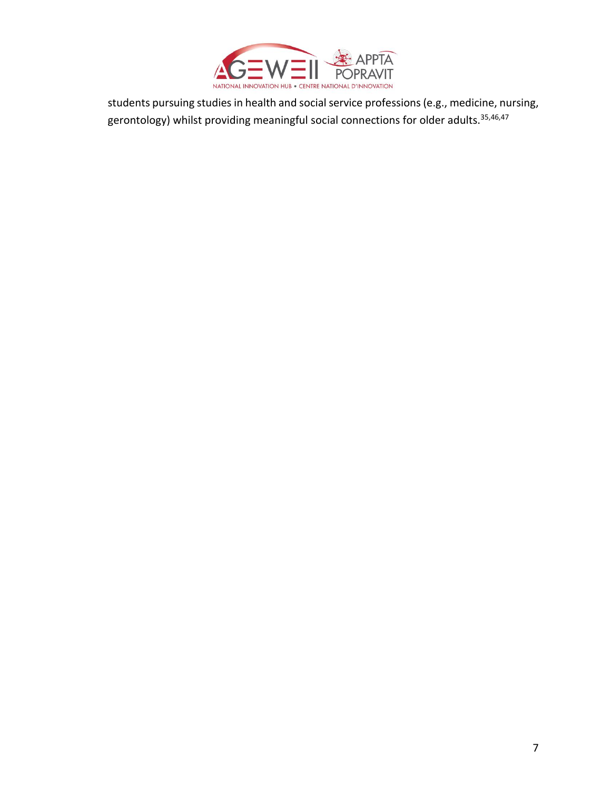

students pursuing studies in health and social service professions (e.g., medicine, nursing, gerontology) whilst providing meaningful social connections for older adults.<sup>[35,46,47](https://paperpile.com/c/XWyKiP/qR9XG+OwAj+ckWJ)</sup>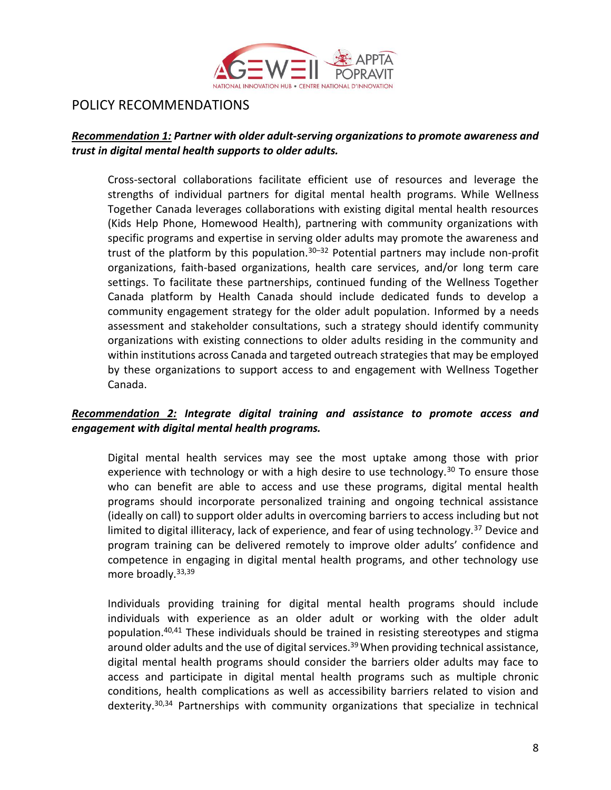

# POLICY RECOMMENDATIONS

### *Recommendation 1: Partner with older adult-serving organizations to promote awareness and trust in digital mental health supports to older adults.*

Cross-sectoral collaborations facilitate efficient use of resources and leverage the strengths of individual partners for digital mental health programs. While Wellness Together Canada leverages collaborations with existing digital mental health resources (Kids Help Phone, Homewood Health), partnering with community organizations with specific programs and expertise in serving older adults may promote the awareness and trust of the platform by this population. $30-32$  $30-32$  Potential partners may include non-profit organizations, faith-based organizations, health care services, and/or long term care settings. To facilitate these partnerships, continued funding of the Wellness Together Canada platform by Health Canada should include dedicated funds to develop a community engagement strategy for the older adult population. Informed by a needs assessment and stakeholder consultations, such a strategy should identify community organizations with existing connections to older adults residing in the community and within institutions across Canada and targeted outreach strategies that may be employed by these organizations to support access to and engagement with Wellness Together Canada.

# *Recommendation 2: Integrate digital training and assistance to promote access and engagement with digital mental health programs.*

Digital mental health services may see the most uptake among those with prior experience with technology or with a high desire to use technology.<sup>[30](https://paperpile.com/c/XWyKiP/6tjb8)</sup> To ensure those who can benefit are able to access and use these programs, digital mental health programs should incorporate personalized training and ongoing technical assistance (ideally on call) to support older adults in overcoming barriers to access including but not limited to digital illiteracy, lack of experience, and fear of using technology.<sup>[37](https://paperpile.com/c/XWyKiP/j8hOW)</sup> Device and program training can be delivered remotely to improve older adults' confidence and competence in engaging in digital mental health programs, and other technology use more broadly.<sup>[33,39](https://paperpile.com/c/XWyKiP/6cUKA+rNKO)</sup>

Individuals providing training for digital mental health programs should include individuals with experience as an older adult or working with the older adult population.[40,41](https://paperpile.com/c/XWyKiP/M2lch+F5rP9) These individuals should be trained in resisting stereotypes and stigma around older adults and the use of digital services.<sup>[39](https://paperpile.com/c/XWyKiP/6cUKA)</sup> When providing technical assistance, digital mental health programs should consider the barriers older adults may face to access and participate in digital mental health programs such as multiple chronic conditions, health complications as well as accessibility barriers related to vision and dexterity.<sup>[30,34](https://paperpile.com/c/XWyKiP/6tjb8+GozV)</sup> Partnerships with community organizations that specialize in technical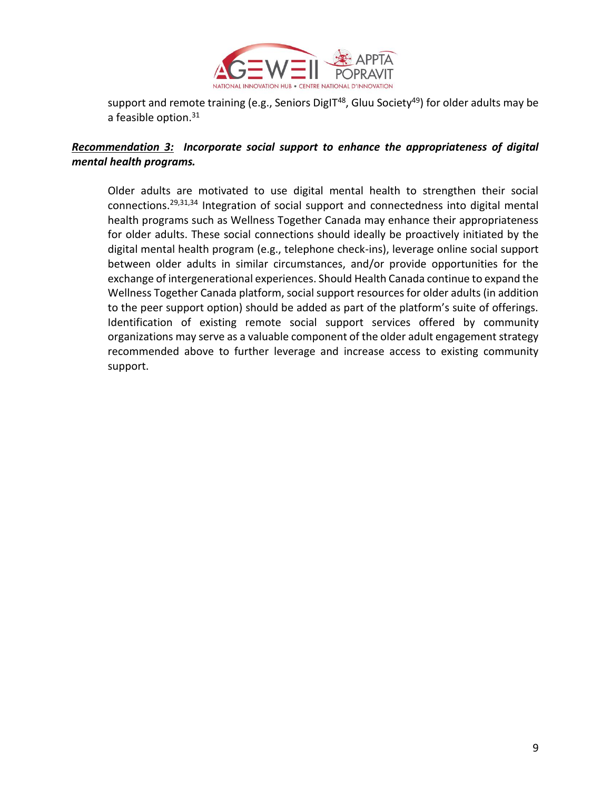

support and remote training (e.g., Seniors DigIT<sup>[48](https://paperpile.com/c/XWyKiP/tCuoM)</sup>, Gluu Society<sup>[49](https://paperpile.com/c/XWyKiP/nH6m)</sup>) for older adults may be a feasible option.<sup>[31](https://paperpile.com/c/XWyKiP/qHMkk)</sup>

## *Recommendation 3: Incorporate social support to enhance the appropriateness of digital mental health programs.*

Older adults are motivated to use digital mental health to strengthen their social connections.[29,31,34](https://paperpile.com/c/XWyKiP/U3q7O+qHMkk+GozV) Integration of social support and connectedness into digital mental health programs such as Wellness Together Canada may enhance their appropriateness for older adults. These social connections should ideally be proactively initiated by the digital mental health program (e.g., telephone check-ins), leverage online social support between older adults in similar circumstances, and/or provide opportunities for the exchange of intergenerational experiences. Should Health Canada continue to expand the Wellness Together Canada platform, social support resources for older adults (in addition to the peer support option) should be added as part of the platform's suite of offerings. Identification of existing remote social support services offered by community organizations may serve as a valuable component of the older adult engagement strategy recommended above to further leverage and increase access to existing community support.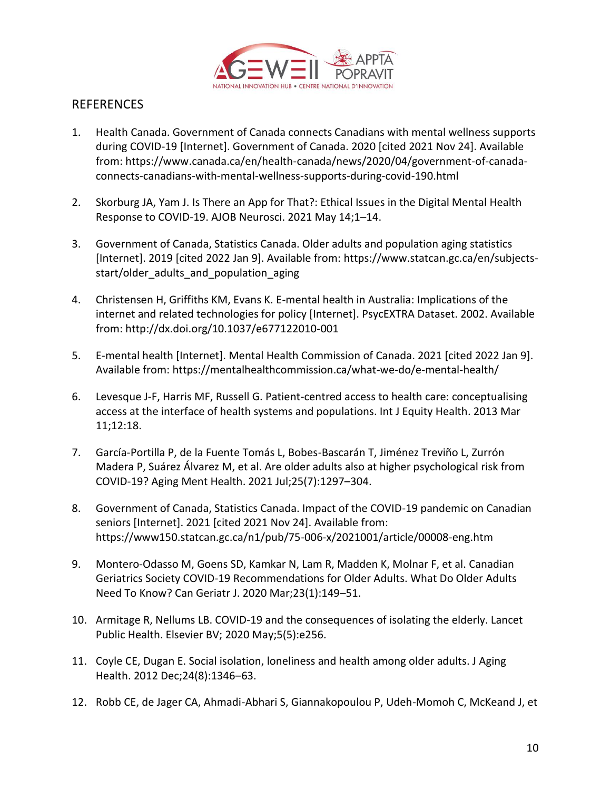

# **REFERENCES**

- 1. [Health Canada. Government of Canada connects Canadians with mental wellness supports](http://paperpile.com/b/XWyKiP/OH4zK)  [during COVID-19 \[Internet\]. Government of Canada. 2020 \[cited 2021 Nov 24\]. Available](http://paperpile.com/b/XWyKiP/OH4zK)  [from:](http://paperpile.com/b/XWyKiP/OH4zK) [https://www.canada.ca/en/health-canada/news/2020/04/government-of-canada](https://www.canada.ca/en/health-canada/news/2020/04/government-of-canada-connects-canadians-with-mental-wellness-supports-during-covid-190.html)[connects-canadians-with-mental-wellness-supports-during-covid-190.html](https://www.canada.ca/en/health-canada/news/2020/04/government-of-canada-connects-canadians-with-mental-wellness-supports-during-covid-190.html)
- 2. [Skorburg JA, Yam J. Is There an App for That?: Ethical Issues in the Digital Mental Health](http://paperpile.com/b/XWyKiP/KsLzM)  [Response to COVID-19. AJOB Neurosci. 2021 May 14;1](http://paperpile.com/b/XWyKiP/KsLzM)–14.
- 3. [Government of Canada, Statistics Canada. Older adults and population aging statistics](http://paperpile.com/b/XWyKiP/F9mqA)  [\[Internet\]. 2019 \[cited 2022 Jan 9\]. Available from:](http://paperpile.com/b/XWyKiP/F9mqA) [https://www.statcan.gc.ca/en/subjects](https://www.statcan.gc.ca/en/subjects-start/older_adults_and_population_aging)[start/older\\_adults\\_and\\_population\\_aging](https://www.statcan.gc.ca/en/subjects-start/older_adults_and_population_aging)
- 4. [Christensen H, Griffiths KM, Evans K. E-mental health in Australia: Implications of the](http://paperpile.com/b/XWyKiP/zWF7Y)  [internet and related technologies for policy \[Internet\]. PsycEXTRA Dataset. 2002. Available](http://paperpile.com/b/XWyKiP/zWF7Y)  [from:](http://paperpile.com/b/XWyKiP/zWF7Y) <http://dx.doi.org/10.1037/e677122010-001>
- 5. [E-mental health \[Internet\]. Mental Health Commission of Canada. 2021 \[cited 2022 Jan 9\].](http://paperpile.com/b/XWyKiP/ZW0PO)  [Available from:](http://paperpile.com/b/XWyKiP/ZW0PO) <https://mentalhealthcommission.ca/what-we-do/e-mental-health/>
- 6. [Levesque J-F, Harris MF, Russell G. Patient-centred access to health care: conceptualising](http://paperpile.com/b/XWyKiP/Id4j5)  [access at the interface of health systems and populations. Int J Equity Health. 2013 Mar](http://paperpile.com/b/XWyKiP/Id4j5)  [11;12:18.](http://paperpile.com/b/XWyKiP/Id4j5)
- 7. [García-Portilla P, de la Fuente Tomás L, Bobes-Bascarán T, Jiménez Treviño L, Zurrón](http://paperpile.com/b/XWyKiP/XQZVo)  [Madera P, Suárez Álvarez M, et al. Are older adults also at higher psychological risk from](http://paperpile.com/b/XWyKiP/XQZVo)  [COVID-19? Aging Ment Health. 2021 Jul;25\(7\):1297](http://paperpile.com/b/XWyKiP/XQZVo)–304.
- 8. [Government of Canada, Statistics Canada. Impact of the COVID-19 pandemic on Canadian](http://paperpile.com/b/XWyKiP/xhj8U)  [seniors \[Internet\]. 2021 \[cited 2021 Nov 24\]. Available from:](http://paperpile.com/b/XWyKiP/xhj8U)  <https://www150.statcan.gc.ca/n1/pub/75-006-x/2021001/article/00008-eng.htm>
- 9. [Montero-Odasso M, Goens SD, Kamkar N, Lam R, Madden K, Molnar F, et al. Canadian](http://paperpile.com/b/XWyKiP/T0ND2)  [Geriatrics Society COVID-19 Recommendations for Older Adults. What Do Older Adults](http://paperpile.com/b/XWyKiP/T0ND2)  [Need To Know? Can Geriatr J. 2020 Mar;23\(1\):149](http://paperpile.com/b/XWyKiP/T0ND2)–51.
- 10. Armitage R, Nellums LB. COVID-19 and [the consequences of isolating the elderly. Lancet](http://paperpile.com/b/XWyKiP/311Ck)  [Public Health. Elsevier BV; 2020 May;5\(5\):e256.](http://paperpile.com/b/XWyKiP/311Ck)
- 11. [Coyle CE, Dugan E. Social isolation, loneliness and health among older adults. J Aging](http://paperpile.com/b/XWyKiP/hNgkq)  [Health. 2012 Dec;24\(8\):1346](http://paperpile.com/b/XWyKiP/hNgkq)–63.
- 12. [Robb CE, de Jager CA, Ahmadi-Abhari S, Giannakopoulou P, Udeh-Momoh C, McKeand J, et](http://paperpile.com/b/XWyKiP/IYfxd)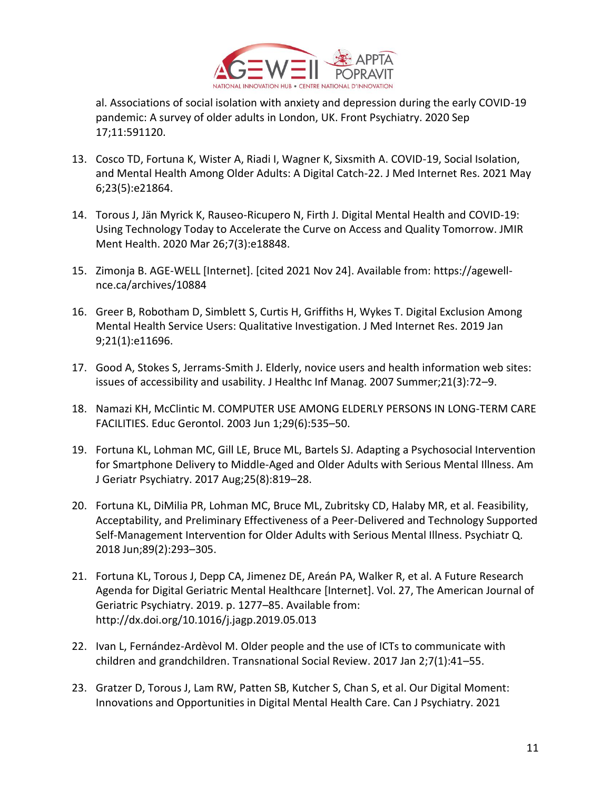

[al. Associations of social isolation with anxiety and depression during the early COVID-19](http://paperpile.com/b/XWyKiP/IYfxd)  [pandemic: A survey of older adults in London, UK. Front Psychiatry. 2020 Sep](http://paperpile.com/b/XWyKiP/IYfxd)  [17;11:591120.](http://paperpile.com/b/XWyKiP/IYfxd)

- 13. [Cosco TD, Fortuna K, Wister A, Riadi I, Wagner K, Sixsmith A. COVID-19, Social Isolation,](http://paperpile.com/b/XWyKiP/oX1hO)  [and Mental Health Among Older Adults: A Digital Catch-22. J Med Internet Res. 2021 May](http://paperpile.com/b/XWyKiP/oX1hO)  [6;23\(5\):e21864.](http://paperpile.com/b/XWyKiP/oX1hO)
- 14. [Torous J, Jän Myrick K, Rauseo-Ricupero N, Firth J. Digital Mental Health and COVID-19:](http://paperpile.com/b/XWyKiP/SGy9K)  [Using Technology Today to Accelerate the Curve on Access and Quality Tomorrow. JMIR](http://paperpile.com/b/XWyKiP/SGy9K)  [Ment Health. 2020 Mar 26;7\(3\):e18848.](http://paperpile.com/b/XWyKiP/SGy9K)
- 15. [Zimonja B. AGE-WELL \[Internet\]. \[cited 2021 Nov 24\]. Available from:](http://paperpile.com/b/XWyKiP/4mZko) [https://agewell](https://agewell-nce.ca/archives/10884)[nce.ca/archives/10884](https://agewell-nce.ca/archives/10884)
- 16. Greer B, Robotham D, Simblett [S, Curtis H, Griffiths H, Wykes T. Digital Exclusion Among](http://paperpile.com/b/XWyKiP/GmcBI)  [Mental Health Service Users: Qualitative Investigation. J Med Internet Res. 2019 Jan](http://paperpile.com/b/XWyKiP/GmcBI)  [9;21\(1\):e11696.](http://paperpile.com/b/XWyKiP/GmcBI)
- 17. [Good A, Stokes S, Jerrams-Smith J. Elderly, novice users and health information web sites:](http://paperpile.com/b/XWyKiP/u6Oa1)  [issues of accessibility and usability. J Healthc Inf Manag. 2007 Summer;21\(3\):72](http://paperpile.com/b/XWyKiP/u6Oa1)–9.
- 18. [Namazi KH, McClintic M. COMPUTER USE AMONG ELDERLY PERSONS IN LONG-TERM CARE](http://paperpile.com/b/XWyKiP/2d0k1)  [FACILITIES. Educ Gerontol. 2003 Jun 1;29\(6\):535](http://paperpile.com/b/XWyKiP/2d0k1)–50.
- 19. [Fortuna KL, Lohman MC, Gill LE, Bruce ML, Bartels SJ. Adapting a Psychosocial Intervention](http://paperpile.com/b/XWyKiP/zFSLg)  [for Smartphone Delivery to Middle-Aged and Older Adults with Serious Mental Illness. Am](http://paperpile.com/b/XWyKiP/zFSLg)  [J Geriatr Psychiatry. 2017 Aug;25\(8\):819](http://paperpile.com/b/XWyKiP/zFSLg)–28.
- 20. [Fortuna KL, DiMilia PR, Lohman MC, Bruce ML, Zubritsky CD, Halaby MR, et al. Feasibility,](http://paperpile.com/b/XWyKiP/p1Dz8)  [Acceptability, and Preliminary Effectiveness of a Peer-Delivered and Technology Supported](http://paperpile.com/b/XWyKiP/p1Dz8)  [Self-Management Intervention for Older Adults with Serious Mental Illness. Psychiatr Q.](http://paperpile.com/b/XWyKiP/p1Dz8)  [2018 Jun;89\(2\):293](http://paperpile.com/b/XWyKiP/p1Dz8)–305.
- 21. [Fortuna KL, Torous J, Depp CA, Jimenez DE, Areán PA, Walker R, et al. A Future Research](http://paperpile.com/b/XWyKiP/cHvsJ)  [Agenda for Digital Geriatric Mental Healthcare \[Internet\]. Vol. 27, The American Journal of](http://paperpile.com/b/XWyKiP/cHvsJ)  [Geriatric Psychiatry. 2019. p. 1277](http://paperpile.com/b/XWyKiP/cHvsJ)–85. Available from: <http://dx.doi.org/10.1016/j.jagp.2019.05.013>
- 22. [Ivan L, Fernández-Ardèvol M. Older people and the use of ICTs to communicate with](http://paperpile.com/b/XWyKiP/xHx3c)  [children and grandchildren. Transnational Social Review. 2017 Jan 2;7\(1\):41](http://paperpile.com/b/XWyKiP/xHx3c)–55.
- 23. [Gratzer D, Torous J, Lam RW, Patten SB, Kutcher S, Chan S, et al. Our Digital Moment:](http://paperpile.com/b/XWyKiP/qd14m)  [Innovations and Opportunities in Digital Mental Health Care. Can J Psychiatry. 2021](http://paperpile.com/b/XWyKiP/qd14m)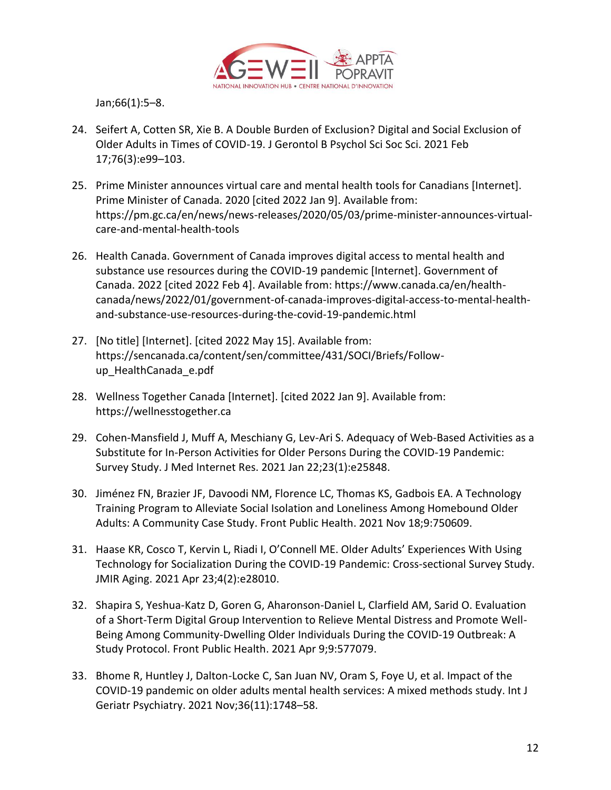

[Jan;66\(1\):5](http://paperpile.com/b/XWyKiP/qd14m)–8.

- 24. [Seifert A, Cotten SR, Xie B. A Double Burden of Exclusion? Digital and Social Exclusion of](http://paperpile.com/b/XWyKiP/qPMuf)  [Older Adults in Times of COVID-19. J Gerontol B Psychol Sci Soc Sci. 2021 Feb](http://paperpile.com/b/XWyKiP/qPMuf)  [17;76\(3\):e99](http://paperpile.com/b/XWyKiP/qPMuf)–103.
- 25. [Prime Minister announces virtual care and mental health tools for Canadians \[Internet\].](http://paperpile.com/b/XWyKiP/hfkIq)  [Prime Minister of Canada. 2020 \[cited 2022 Jan 9\]. Available from:](http://paperpile.com/b/XWyKiP/hfkIq)  [https://pm.gc.ca/en/news/news-releases/2020/05/03/prime-minister-announces-virtual](https://pm.gc.ca/en/news/news-releases/2020/05/03/prime-minister-announces-virtual-care-and-mental-health-tools)[care-and-mental-health-tools](https://pm.gc.ca/en/news/news-releases/2020/05/03/prime-minister-announces-virtual-care-and-mental-health-tools)
- 26. [Health Canada. Government of Canada improves digital access to mental health and](http://paperpile.com/b/XWyKiP/8qGW)  [substance use resources during the COVID-19 pandemic \[Internet\]. Government of](http://paperpile.com/b/XWyKiP/8qGW)  [Canada. 2022 \[cited 2022 Feb 4\]. Available from:](http://paperpile.com/b/XWyKiP/8qGW) [https://www.canada.ca/en/health](https://www.canada.ca/en/health-canada/news/2022/01/government-of-canada-improves-digital-access-to-mental-health-and-substance-use-resources-during-the-covid-19-pandemic.html)[canada/news/2022/01/government-of-canada-improves-digital-access-to-mental-health](https://www.canada.ca/en/health-canada/news/2022/01/government-of-canada-improves-digital-access-to-mental-health-and-substance-use-resources-during-the-covid-19-pandemic.html)[and-substance-use-resources-during-the-covid-19-pandemic.html](https://www.canada.ca/en/health-canada/news/2022/01/government-of-canada-improves-digital-access-to-mental-health-and-substance-use-resources-during-the-covid-19-pandemic.html)
- 27. [\[No title\] \[Internet\]. \[cited 2022 May 15\]. Available from:](http://paperpile.com/b/XWyKiP/bCS8)  [https://sencanada.ca/content/sen/committee/431/SOCI/Briefs/Follow](https://sencanada.ca/content/sen/committee/431/SOCI/Briefs/Follow-up_HealthCanada_e.pdf)[up\\_HealthCanada\\_e.pdf](https://sencanada.ca/content/sen/committee/431/SOCI/Briefs/Follow-up_HealthCanada_e.pdf)
- 28. [Wellness Together Canada \[Internet\]. \[cited 2022 Jan 9\]. Available from:](http://paperpile.com/b/XWyKiP/01jge)  [https://wellnesstogether.ca](https://wellnesstogether.ca/)
- 29. [Cohen-Mansfield J, Muff A, Meschiany G, Lev-Ari S. Adequacy of Web-Based Activities as a](http://paperpile.com/b/XWyKiP/U3q7O)  [Substitute for In-Person Activities for Older Persons During the COVID-19 Pandemic:](http://paperpile.com/b/XWyKiP/U3q7O)  [Survey Study. J Med Internet Res. 2021 Jan 22;23\(1\):e25848.](http://paperpile.com/b/XWyKiP/U3q7O)
- 30. Jiménez FN, Brazier JF, [Davoodi NM, Florence LC, Thomas KS, Gadbois EA. A Technology](http://paperpile.com/b/XWyKiP/6tjb8)  [Training Program to Alleviate Social Isolation and Loneliness Among Homebound Older](http://paperpile.com/b/XWyKiP/6tjb8)  [Adults: A Community Case Study. Front Public Health. 2021 Nov 18;9:750609.](http://paperpile.com/b/XWyKiP/6tjb8)
- 31. [Haase KR, Cosco T, Kervin L, Riadi I, O'Connell ME. Older Adults' Experiences With Using](http://paperpile.com/b/XWyKiP/qHMkk)  [Technology for Socialization During the COVID-19 Pandemic: Cross-sectional Survey Study.](http://paperpile.com/b/XWyKiP/qHMkk)  [JMIR Aging. 2021 Apr 23;4\(2\):e28010.](http://paperpile.com/b/XWyKiP/qHMkk)
- 32. [Shapira S, Yeshua-Katz D, Goren G, Aharonson-Daniel L, Clarfield AM, Sarid O. Evaluation](http://paperpile.com/b/XWyKiP/EUQNv)  [of a Short-Term Digital Group Intervention to Relieve Mental Distress and Promote Well-](http://paperpile.com/b/XWyKiP/EUQNv)Being Among Community-Dwelling Older [Individuals During the COVID-19 Outbreak: A](http://paperpile.com/b/XWyKiP/EUQNv)  [Study Protocol. Front Public Health. 2021 Apr 9;9:577079.](http://paperpile.com/b/XWyKiP/EUQNv)
- 33. [Bhome R, Huntley J, Dalton-Locke C, San Juan NV, Oram S, Foye U, et al. Impact of the](http://paperpile.com/b/XWyKiP/rNKO)  COVID-19 [pandemic on older adults mental health services: A mixed methods study. Int J](http://paperpile.com/b/XWyKiP/rNKO)  [Geriatr Psychiatry. 2021 Nov;36\(11\):1748](http://paperpile.com/b/XWyKiP/rNKO)–58.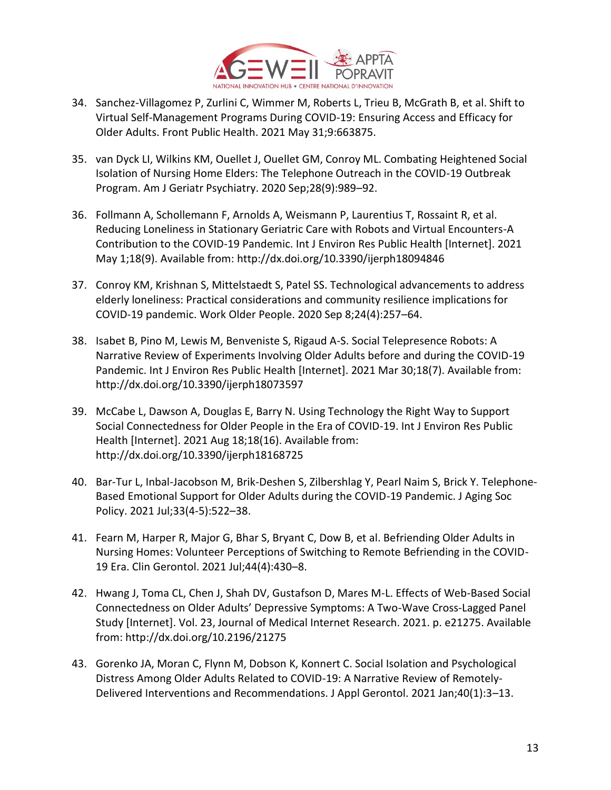

- 34. [Sanchez-Villagomez P, Zurlini C, Wimmer M, Roberts L, Trieu B, McGrath B,](http://paperpile.com/b/XWyKiP/GozV) et al. Shift to [Virtual Self-Management Programs During COVID-19: Ensuring Access and Efficacy for](http://paperpile.com/b/XWyKiP/GozV)  [Older Adults. Front Public Health. 2021 May 31;9:663875.](http://paperpile.com/b/XWyKiP/GozV)
- 35. [van Dyck LI, Wilkins KM, Ouellet J, Ouellet GM, Conroy ML. Combating Heightened Social](http://paperpile.com/b/XWyKiP/qR9XG)  [Isolation of Nursing Home Elders: The Telephone Outreach in the COVID-19 Outbreak](http://paperpile.com/b/XWyKiP/qR9XG)  [Program. Am J Geriatr Psychiatry. 2020 Sep;28\(9\):989](http://paperpile.com/b/XWyKiP/qR9XG)–92.
- 36. [Follmann A, Schollemann F, Arnolds A, Weismann P, Laurentius T, Rossaint R, et al.](http://paperpile.com/b/XWyKiP/yM6qi)  [Reducing Loneliness in Stationary Geriatric Care with Robots and Virtual Encounters-A](http://paperpile.com/b/XWyKiP/yM6qi)  [Contribution to the COVID-19 Pandemic. Int J Environ Res Public Health \[Internet\]. 2021](http://paperpile.com/b/XWyKiP/yM6qi)  [May 1;18\(9\). Available from:](http://paperpile.com/b/XWyKiP/yM6qi) <http://dx.doi.org/10.3390/ijerph18094846>
- 37. [Conroy KM, Krishnan S, Mittelstaedt S, Patel SS. Technological advancements to address](http://paperpile.com/b/XWyKiP/j8hOW)  [elderly loneliness: Practical considerations and community resilience implications for](http://paperpile.com/b/XWyKiP/j8hOW)  [COVID-19 pandemic. Work Older People. 2020 Sep 8;24\(4\):257](http://paperpile.com/b/XWyKiP/j8hOW)–64.
- 38. [Isabet B, Pino M, Lewis M, Benveniste S, Rigaud A-S. Social Telepresence Robots: A](http://paperpile.com/b/XWyKiP/y8iSi)  [Narrative Review of Experiments Involving Older Adults before and during the COVID-19](http://paperpile.com/b/XWyKiP/y8iSi)  Pandemic. Int J Environ Res Public [Health \[Internet\]. 2021 Mar 30;18\(7\). Available from:](http://paperpile.com/b/XWyKiP/y8iSi)  <http://dx.doi.org/10.3390/ijerph18073597>
- 39. [McCabe L, Dawson A, Douglas E, Barry N. Using Technology the Right Way to Support](http://paperpile.com/b/XWyKiP/6cUKA)  [Social Connectedness for Older People in the Era of COVID-19. Int J Environ Res Public](http://paperpile.com/b/XWyKiP/6cUKA)  [Health \[Internet\]. 2021 Aug 18;18\(16\). Available from:](http://paperpile.com/b/XWyKiP/6cUKA)  <http://dx.doi.org/10.3390/ijerph18168725>
- 40. [Bar-Tur L, Inbal-Jacobson M, Brik-Deshen S, Zilbershlag Y, Pearl Naim S, Brick Y. Telephone-](http://paperpile.com/b/XWyKiP/M2lch)[Based Emotional Support for Older Adults during the COVID-19 Pandemic. J Aging Soc](http://paperpile.com/b/XWyKiP/M2lch)  [Policy. 2021 Jul;33\(4-5\):522](http://paperpile.com/b/XWyKiP/M2lch)–38.
- 41. [Fearn M, Harper R, Major G, Bhar S, Bryant C, Dow B, et al. Befriending Older Adults in](http://paperpile.com/b/XWyKiP/F5rP9)  [Nursing Homes: Volunteer Perceptions of Switching to Remote Befriending in the COVID-](http://paperpile.com/b/XWyKiP/F5rP9)[19 Era. Clin Gerontol. 2021 Jul;44\(4\):430](http://paperpile.com/b/XWyKiP/F5rP9)–8.
- 42. [Hwang J, Toma CL, Chen J, Shah DV, Gustafson D, Mares M-L. Effects of Web-Based Social](http://paperpile.com/b/XWyKiP/7SfB1)  [Connectedness on Older Adults' Depressive Symptoms: A Two](http://paperpile.com/b/XWyKiP/7SfB1)-Wave Cross-Lagged Panel [Study \[Internet\]. Vol. 23, Journal of Medical Internet Research. 2021. p. e21275. Available](http://paperpile.com/b/XWyKiP/7SfB1)  [from:](http://paperpile.com/b/XWyKiP/7SfB1) <http://dx.doi.org/10.2196/21275>
- 43. [Gorenko JA, Moran C, Flynn M, Dobson K, Konnert C. Social Isolation and Psychological](http://paperpile.com/b/XWyKiP/EXeSa)  [Distress Among Older Adults Related to COVID-19: A Narrative Review of Remotely-](http://paperpile.com/b/XWyKiP/EXeSa)[Delivered Interventions and Recommendations. J Appl Gerontol. 2021 Jan;40\(1\):3](http://paperpile.com/b/XWyKiP/EXeSa)–13.